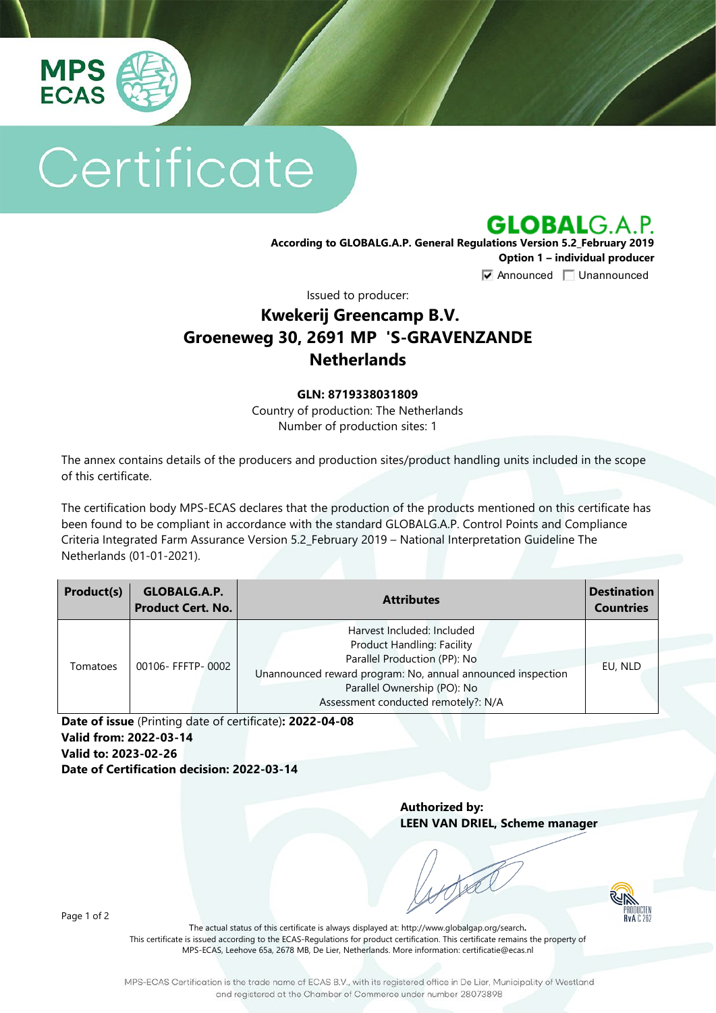

# Certificate

**GLOBALG.A.P.** 

**According to GLOBALG.A.P. General Regulations Version 5.2\_February 2019 Option 1 – individual producer**  $\nabla$  Announced  $\nabla$  Unannounced

Issued to producer:

## **Kwekerij Greencamp B.V. Groeneweg 30, 2691 MP 'S-GRAVENZANDE Netherlands**

#### **GLN: 8719338031809**

Country of production: The Netherlands Number of production sites: 1

The annex contains details of the producers and production sites/product handling units included in the scope of this certificate.

The certification body MPS-ECAS declares that the production of the products mentioned on this certificate has been found to be compliant in accordance with the standard GLOBALG.A.P. Control Points and Compliance Criteria Integrated Farm Assurance Version 5.2\_February 2019 – National Interpretation Guideline The Netherlands (01-01-2021).

| Product(s) | GLOBALG.A.P.<br><b>Product Cert. No.</b> | <b>Attributes</b>                                                                                                                                                                                                                    | <b>Destination</b><br><b>Countries</b> |
|------------|------------------------------------------|--------------------------------------------------------------------------------------------------------------------------------------------------------------------------------------------------------------------------------------|----------------------------------------|
| Tomatoes   | 00106- FFFTP- 0002                       | Harvest Included: Included<br><b>Product Handling: Facility</b><br>Parallel Production (PP): No<br>Unannounced reward program: No, annual announced inspection<br>Parallel Ownership (PO): No<br>Assessment conducted remotely?: N/A | EU, NLD                                |

**Date of issue** (Printing date of certificate)**: 2022-04-08 Valid from: 2022-03-14 Valid to: 2023-02-26 Date of Certification decision: 2022-03-14**

> **Authorized by: LEEN VAN DRIEL, Scheme manager**



Page 1 of 2

The actual status of this certificate is always displayed at: <http://www.globalgap.org/search>**.**  This certificate is issued according to the ECAS-Regulations for product certification. This certificate remains the property of MPS-ECAS, Leehove 65a, 2678 MB, De Lier, Netherlands. More information[: certificatie@ecas.nl](mailto:certificatie@ecas.nl)